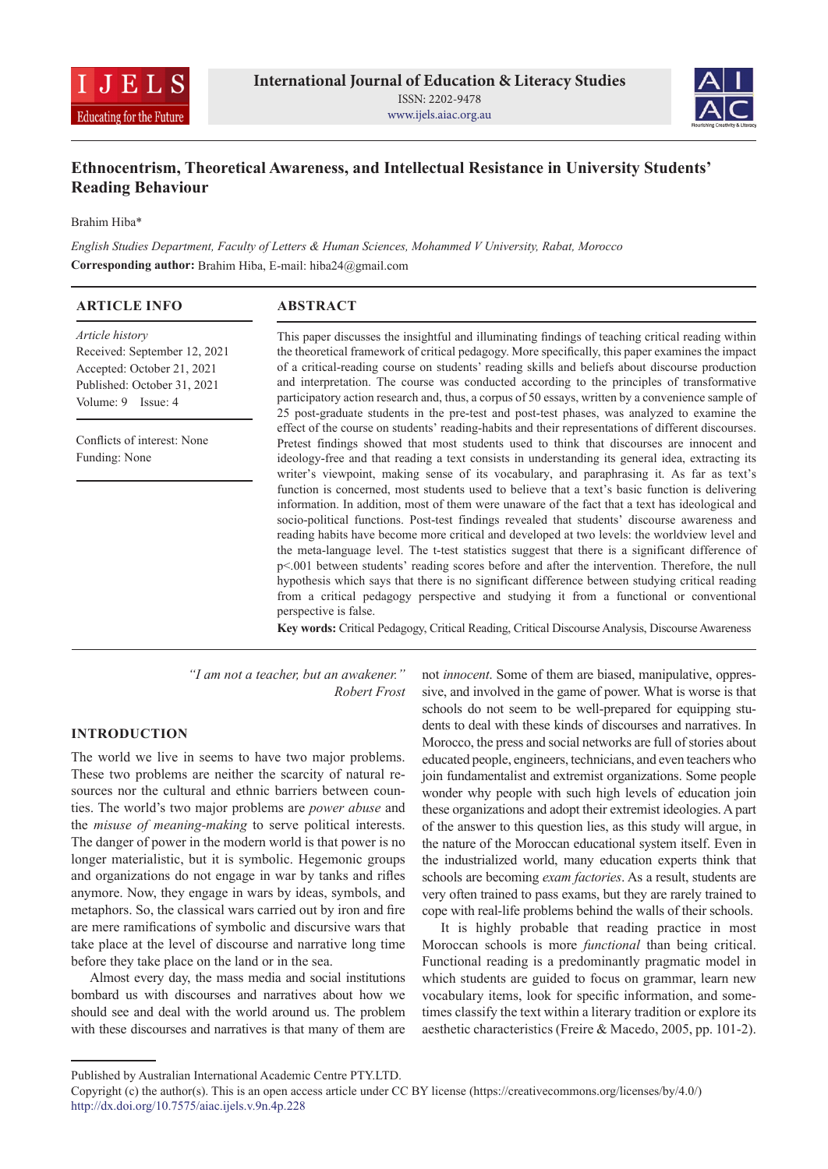



# **Ethnocentrism, Theoretical Awareness, and Intellectual Resistance in University Students' Reading Behaviour**

Brahim Hiba\*

*English Studies Department, Faculty of Letters & Human Sciences, Mohammed V University, Rabat, Morocco* **Corresponding author:** Brahim Hiba, E-mail: hiba24@gmail.com

| <b>ARTICLE INFO</b>                                                                                                                       | <b>ABSTRACT</b>                                                                                                                                                                                                                                                                                                                                                                                                                                                                                                                                                                                                                                                                                                                                                                                                                                                                                                                                                                                                                                                                                                                                                                                                                       |  |  |  |  |
|-------------------------------------------------------------------------------------------------------------------------------------------|---------------------------------------------------------------------------------------------------------------------------------------------------------------------------------------------------------------------------------------------------------------------------------------------------------------------------------------------------------------------------------------------------------------------------------------------------------------------------------------------------------------------------------------------------------------------------------------------------------------------------------------------------------------------------------------------------------------------------------------------------------------------------------------------------------------------------------------------------------------------------------------------------------------------------------------------------------------------------------------------------------------------------------------------------------------------------------------------------------------------------------------------------------------------------------------------------------------------------------------|--|--|--|--|
| <i>Article history</i><br>Received: September 12, 2021<br>Accepted: October 21, 2021<br>Published: October 31, 2021<br>Volume: 9 Issue: 4 | This paper discusses the insightful and illuminating findings of teaching critical reading within<br>the theoretical framework of critical pedagogy. More specifically, this paper examines the impact<br>of a critical-reading course on students' reading skills and beliefs about discourse production<br>and interpretation. The course was conducted according to the principles of transformative<br>participatory action research and, thus, a corpus of 50 essays, written by a convenience sample of<br>25 post-graduate students in the pre-test and post-test phases, was analyzed to examine the                                                                                                                                                                                                                                                                                                                                                                                                                                                                                                                                                                                                                          |  |  |  |  |
| Conflicts of interest: None<br>Funding: None                                                                                              | effect of the course on students' reading-habits and their representations of different discourses.<br>Pretest findings showed that most students used to think that discourses are innocent and<br>ideology-free and that reading a text consists in understanding its general idea, extracting its<br>writer's viewpoint, making sense of its vocabulary, and paraphrasing it. As far as text's<br>function is concerned, most students used to believe that a text's basic function is delivering<br>information. In addition, most of them were unaware of the fact that a text has ideological and<br>socio-political functions. Post-test findings revealed that students' discourse awareness and<br>reading habits have become more critical and developed at two levels: the worldview level and<br>the meta-language level. The t-test statistics suggest that there is a significant difference of<br>p<.001 between students' reading scores before and after the intervention. Therefore, the null<br>hypothesis which says that there is no significant difference between studying critical reading<br>from a critical pedagogy perspective and studying it from a functional or conventional<br>perspective is false. |  |  |  |  |

**Key words:** Critical Pedagogy, Critical Reading, Critical Discourse Analysis, Discourse Awareness

*"I am not a teacher, but an awakener." Robert Frost*

# **INTRODUCTION**

The world we live in seems to have two major problems. These two problems are neither the scarcity of natural resources nor the cultural and ethnic barriers between counties. The world's two major problems are *power abuse* and the *misuse of meaning-making* to serve political interests. The danger of power in the modern world is that power is no longer materialistic, but it is symbolic. Hegemonic groups and organizations do not engage in war by tanks and rifles anymore. Now, they engage in wars by ideas, symbols, and metaphors. So, the classical wars carried out by iron and fire are mere ramifications of symbolic and discursive wars that take place at the level of discourse and narrative long time before they take place on the land or in the sea.

Almost every day, the mass media and social institutions bombard us with discourses and narratives about how we should see and deal with the world around us. The problem with these discourses and narratives is that many of them are

not *innocent*. Some of them are biased, manipulative, oppressive, and involved in the game of power. What is worse is that schools do not seem to be well-prepared for equipping students to deal with these kinds of discourses and narratives. In Morocco, the press and social networks are full of stories about educated people, engineers, technicians, and even teachers who join fundamentalist and extremist organizations. Some people wonder why people with such high levels of education join these organizations and adopt their extremist ideologies. Apart of the answer to this question lies, as this study will argue, in the nature of the Moroccan educational system itself. Even in the industrialized world, many education experts think that schools are becoming *exam factories*. As a result, students are very often trained to pass exams, but they are rarely trained to cope with real-life problems behind the walls of their schools.

It is highly probable that reading practice in most Moroccan schools is more *functional* than being critical. Functional reading is a predominantly pragmatic model in which students are guided to focus on grammar, learn new vocabulary items, look for specific information, and sometimes classify the text within a literary tradition or explore its aesthetic characteristics (Freire & Macedo, 2005, pp. 101-2).

Published by Australian International Academic Centre PTY.LTD.

Copyright (c) the author(s). This is an open access article under CC BY license (https://creativecommons.org/licenses/by/4.0/) http://dx.doi.org/10.7575/aiac.ijels.v.9n.4p.228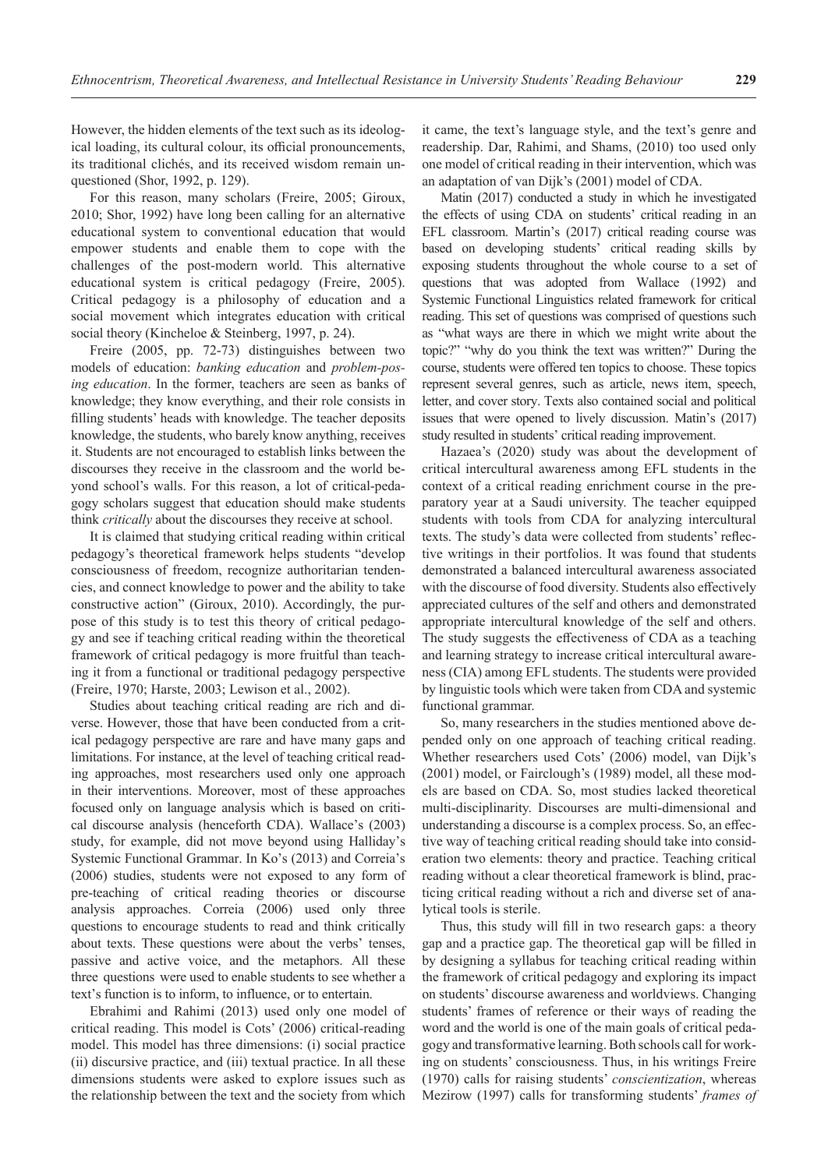However, the hidden elements of the text such as its ideological loading, its cultural colour, its official pronouncements, its traditional clichés, and its received wisdom remain unquestioned (Shor, 1992, p. 129).

For this reason, many scholars (Freire, 2005; Giroux, 2010; Shor, 1992) have long been calling for an alternative educational system to conventional education that would empower students and enable them to cope with the challenges of the post-modern world. This alternative educational system is critical pedagogy (Freire, 2005). Critical pedagogy is a philosophy of education and a social movement which integrates education with critical social theory (Kincheloe & Steinberg, 1997, p. 24).

Freire (2005, pp. 72-73) distinguishes between two models of education: *banking education* and *problem-posing education*. In the former, teachers are seen as banks of knowledge; they know everything, and their role consists in filling students' heads with knowledge. The teacher deposits knowledge, the students, who barely know anything, receives it. Students are not encouraged to establish links between the discourses they receive in the classroom and the world beyond school's walls. For this reason, a lot of critical-pedagogy scholars suggest that education should make students think *critically* about the discourses they receive at school.

It is claimed that studying critical reading within critical pedagogy's theoretical framework helps students "develop consciousness of freedom, recognize authoritarian tendencies, and connect knowledge to power and the ability to take constructive action" (Giroux, 2010). Accordingly, the purpose of this study is to test this theory of critical pedagogy and see if teaching critical reading within the theoretical framework of critical pedagogy is more fruitful than teaching it from a functional or traditional pedagogy perspective (Freire, 1970; Harste, 2003; Lewison et al., 2002).

Studies about teaching critical reading are rich and diverse. However, those that have been conducted from a critical pedagogy perspective are rare and have many gaps and limitations. For instance, at the level of teaching critical reading approaches, most researchers used only one approach in their interventions. Moreover, most of these approaches focused only on language analysis which is based on critical discourse analysis (henceforth CDA). Wallace's (2003) study, for example, did not move beyond using Halliday's Systemic Functional Grammar. In Ko's (2013) and Correia's (2006) studies, students were not exposed to any form of pre-teaching of critical reading theories or discourse analysis approaches. Correia (2006) used only three questions to encourage students to read and think critically about texts. These questions were about the verbs' tenses, passive and active voice, and the metaphors. All these three questions were used to enable students to see whether a text's function is to inform, to influence, or to entertain.

Ebrahimi and Rahimi (2013) used only one model of critical reading. This model is Cots' (2006) critical-reading model. This model has three dimensions: (i) social practice (ii) discursive practice, and (iii) textual practice. In all these dimensions students were asked to explore issues such as the relationship between the text and the society from which it came, the text's language style, and the text's genre and readership. Dar, Rahimi, and Shams, (2010) too used only one model of critical reading in their intervention, which was an adaptation of van Dijk's (2001) model of CDA.

Matin (2017) conducted a study in which he investigated the effects of using CDA on students' critical reading in an EFL classroom. Martin's (2017) critical reading course was based on developing students' critical reading skills by exposing students throughout the whole course to a set of questions that was adopted from Wallace (1992) and Systemic Functional Linguistics related framework for critical reading. This set of questions was comprised of questions such as "what ways are there in which we might write about the topic?" "why do you think the text was written?" During the course, students were offered ten topics to choose. These topics represent several genres, such as article, news item, speech, letter, and cover story. Texts also contained social and political issues that were opened to lively discussion. Matin's (2017) study resulted in students' critical reading improvement.

Hazaea's (2020) study was about the development of critical intercultural awareness among EFL students in the context of a critical reading enrichment course in the preparatory year at a Saudi university. The teacher equipped students with tools from CDA for analyzing intercultural texts. The study's data were collected from students' reflective writings in their portfolios. It was found that students demonstrated a balanced intercultural awareness associated with the discourse of food diversity. Students also effectively appreciated cultures of the self and others and demonstrated appropriate intercultural knowledge of the self and others. The study suggests the effectiveness of CDA as a teaching and learning strategy to increase critical intercultural awareness (CIA) among EFL students. The students were provided by linguistic tools which were taken from CDA and systemic functional grammar.

So, many researchers in the studies mentioned above depended only on one approach of teaching critical reading. Whether researchers used Cots' (2006) model, van Dijk's (2001) model, or Fairclough's (1989) model, all these models are based on CDA. So, most studies lacked theoretical multi-disciplinarity. Discourses are multi-dimensional and understanding a discourse is a complex process. So, an effective way of teaching critical reading should take into consideration two elements: theory and practice. Teaching critical reading without a clear theoretical framework is blind, practicing critical reading without a rich and diverse set of analytical tools is sterile.

Thus, this study will fill in two research gaps: a theory gap and a practice gap. The theoretical gap will be filled in by designing a syllabus for teaching critical reading within the framework of critical pedagogy and exploring its impact on students' discourse awareness and worldviews. Changing students' frames of reference or their ways of reading the word and the world is one of the main goals of critical pedagogy and transformative learning. Both schools call for working on students' consciousness. Thus, in his writings Freire (1970) calls for raising students' *conscientization*, whereas Mezirow (1997) calls for transforming students' *frames of*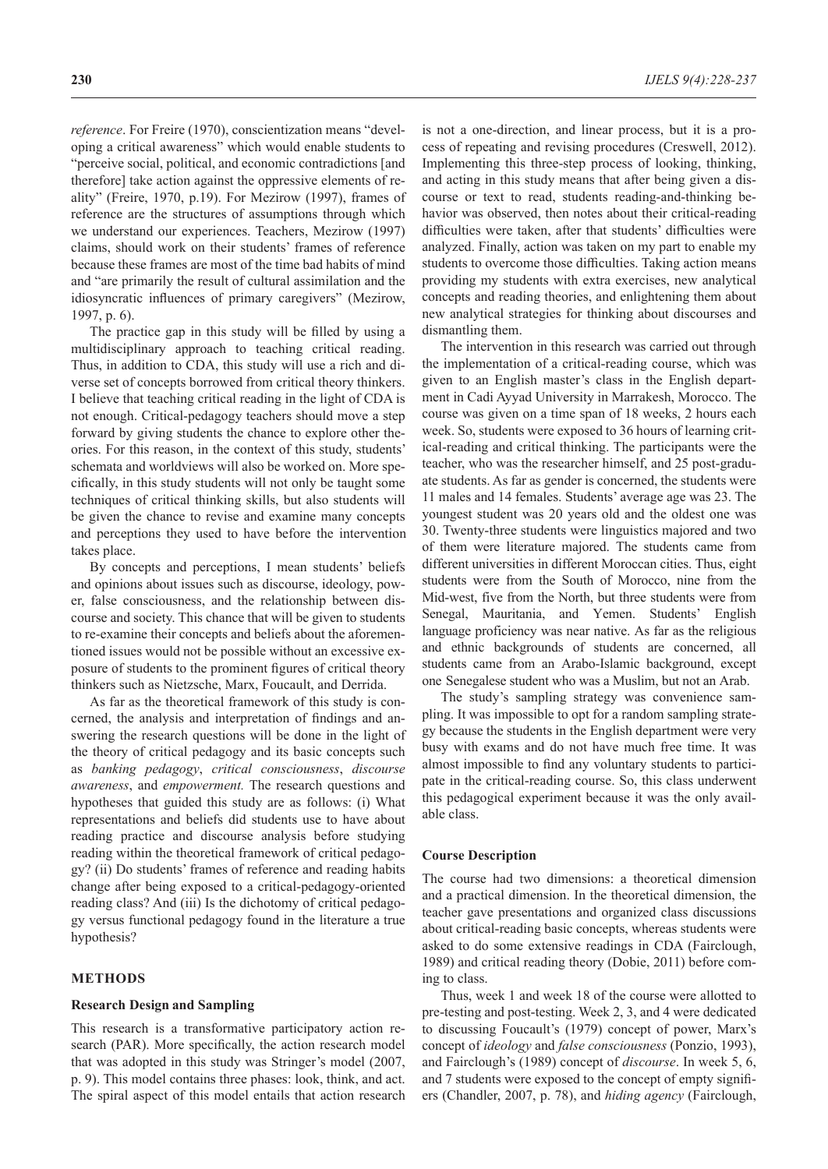*reference*. For Freire (1970), conscientization means "developing a critical awareness" which would enable students to "perceive social, political, and economic contradictions [and therefore] take action against the oppressive elements of reality" (Freire, 1970, p.19). For Mezirow (1997), frames of reference are the structures of assumptions through which we understand our experiences. Teachers, Mezirow (1997) claims, should work on their students' frames of reference because these frames are most of the time bad habits of mind and "are primarily the result of cultural assimilation and the idiosyncratic influences of primary caregivers" (Mezirow, 1997, p. 6).

The practice gap in this study will be filled by using a multidisciplinary approach to teaching critical reading. Thus, in addition to CDA, this study will use a rich and diverse set of concepts borrowed from critical theory thinkers. I believe that teaching critical reading in the light of CDA is not enough. Critical-pedagogy teachers should move a step forward by giving students the chance to explore other theories. For this reason, in the context of this study, students' schemata and worldviews will also be worked on. More specifically, in this study students will not only be taught some techniques of critical thinking skills, but also students will be given the chance to revise and examine many concepts and perceptions they used to have before the intervention takes place.

By concepts and perceptions, I mean students' beliefs and opinions about issues such as discourse, ideology, power, false consciousness, and the relationship between discourse and society. This chance that will be given to students to re-examine their concepts and beliefs about the aforementioned issues would not be possible without an excessive exposure of students to the prominent figures of critical theory thinkers such as Nietzsche, Marx, Foucault, and Derrida.

As far as the theoretical framework of this study is concerned, the analysis and interpretation of findings and answering the research questions will be done in the light of the theory of critical pedagogy and its basic concepts such as *banking pedagogy*, *critical consciousness*, *discourse awareness*, and *empowerment.* The research questions and hypotheses that guided this study are as follows: (i) What representations and beliefs did students use to have about reading practice and discourse analysis before studying reading within the theoretical framework of critical pedagogy? (ii) Do students' frames of reference and reading habits change after being exposed to a critical-pedagogy-oriented reading class? And (iii) Is the dichotomy of critical pedagogy versus functional pedagogy found in the literature a true hypothesis?

# **METHODS**

### **Research Design and Sampling**

This research is a transformative participatory action research (PAR). More specifically, the action research model that was adopted in this study was Stringer's model (2007, p. 9). This model contains three phases: look, think, and act. The spiral aspect of this model entails that action research

is not a one-direction, and linear process, but it is a process of repeating and revising procedures (Creswell, 2012). Implementing this three-step process of looking, thinking, and acting in this study means that after being given a discourse or text to read, students reading-and-thinking behavior was observed, then notes about their critical-reading difficulties were taken, after that students' difficulties were analyzed. Finally, action was taken on my part to enable my students to overcome those difficulties. Taking action means providing my students with extra exercises, new analytical concepts and reading theories, and enlightening them about new analytical strategies for thinking about discourses and dismantling them.

The intervention in this research was carried out through the implementation of a critical-reading course, which was given to an English master's class in the English department in Cadi Ayyad University in Marrakesh, Morocco. The course was given on a time span of 18 weeks, 2 hours each week. So, students were exposed to 36 hours of learning critical-reading and critical thinking. The participants were the teacher, who was the researcher himself, and 25 post-graduate students. As far as gender is concerned, the students were 11 males and 14 females. Students' average age was 23. The youngest student was 20 years old and the oldest one was 30. Twenty-three students were linguistics majored and two of them were literature majored. The students came from different universities in different Moroccan cities. Thus, eight students were from the South of Morocco, nine from the Mid-west, five from the North, but three students were from Senegal, Mauritania, and Yemen. Students' English language proficiency was near native. As far as the religious and ethnic backgrounds of students are concerned, all students came from an Arabo-Islamic background, except one Senegalese student who was a Muslim, but not an Arab.

The study's sampling strategy was convenience sampling. It was impossible to opt for a random sampling strategy because the students in the English department were very busy with exams and do not have much free time. It was almost impossible to find any voluntary students to participate in the critical-reading course. So, this class underwent this pedagogical experiment because it was the only available class.

### **Course Description**

The course had two dimensions: a theoretical dimension and a practical dimension. In the theoretical dimension, the teacher gave presentations and organized class discussions about critical-reading basic concepts, whereas students were asked to do some extensive readings in CDA (Fairclough, 1989) and critical reading theory (Dobie, 2011) before coming to class.

Thus, week 1 and week 18 of the course were allotted to pre-testing and post-testing. Week 2, 3, and 4 were dedicated to discussing Foucault's (1979) concept of power, Marx's concept of *ideology* and *false consciousness* (Ponzio, 1993), and Fairclough's (1989) concept of *discourse*. In week 5, 6, and 7 students were exposed to the concept of empty signifiers (Chandler, 2007, p. 78), and *hiding agency* (Fairclough,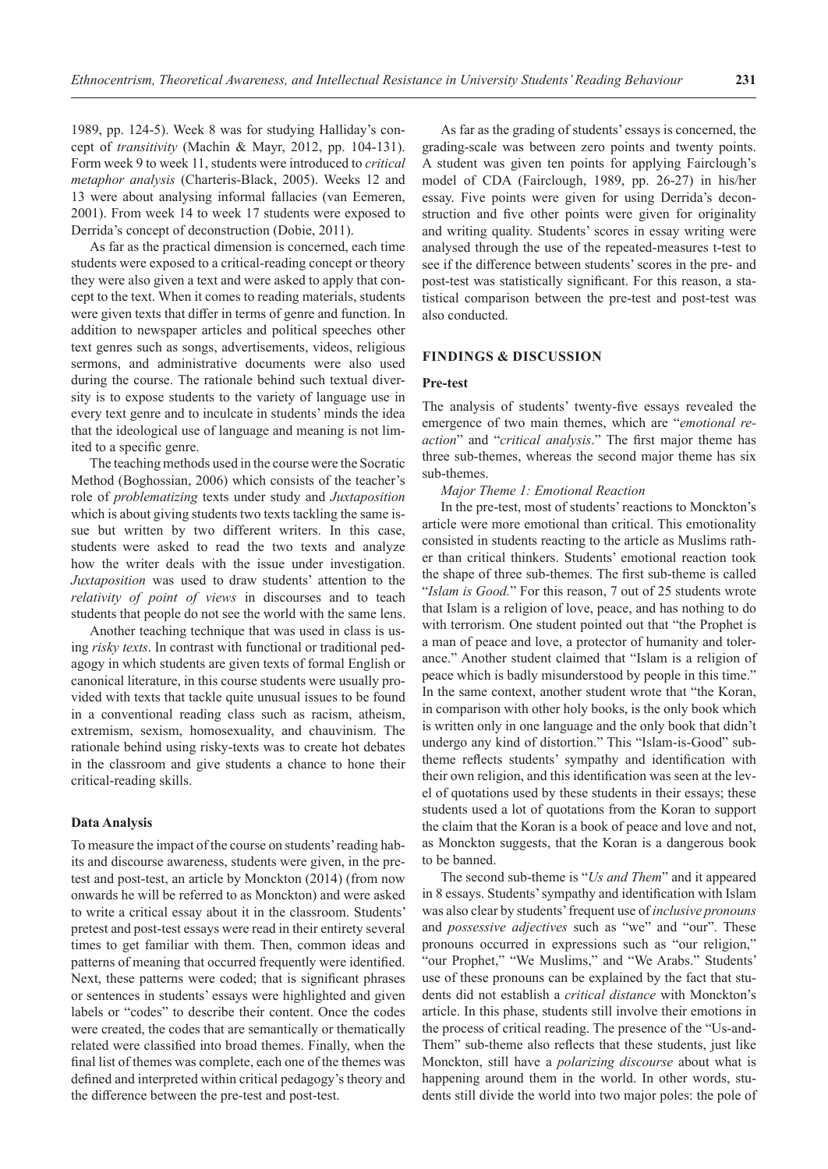1989, pp. 124-5). Week 8 was for studying Halliday's concept of *transitivity* (Machin & Mayr, 2012, pp. 104-131). Form week 9 to week 11, students were introduced to *critical metaphor analysis* (Charteris-Black, 2005). Weeks 12 and 13 were about analysing informal fallacies (van Eemeren, 2001). From week 14 to week 17 students were exposed to Derrida's concept of deconstruction (Dobie, 2011).

As far as the practical dimension is concerned, each time students were exposed to a critical-reading concept or theory they were also given a text and were asked to apply that concept to the text. When it comes to reading materials, students were given texts that differ in terms of genre and function. In addition to newspaper articles and political speeches other text genres such as songs, advertisements, videos, religious sermons, and administrative documents were also used during the course. The rationale behind such textual diversity is to expose students to the variety of language use in every text genre and to inculcate in students' minds the idea that the ideological use of language and meaning is not limited to a specific genre.

The teaching methods used in the course were the Socratic Method (Boghossian, 2006) which consists of the teacher's role of *problematizing* texts under study and *Juxtaposition* which is about giving students two texts tackling the same issue but written by two different writers. In this case, students were asked to read the two texts and analyze how the writer deals with the issue under investigation. *Juxtaposition* was used to draw students' attention to the *relativity of point of views* in discourses and to teach students that people do not see the world with the same lens.

Another teaching technique that was used in class is using *risky texts*. In contrast with functional or traditional pedagogy in which students are given texts of formal English or canonical literature, in this course students were usually provided with texts that tackle quite unusual issues to be found in a conventional reading class such as racism, atheism, extremism, sexism, homosexuality, and chauvinism. The rationale behind using risky-texts was to create hot debates in the classroom and give students a chance to hone their critical-reading skills.

### **Data Analysis**

To measure the impact of the course on students' reading habits and discourse awareness, students were given, in the pretest and post-test, an article by Monckton (2014) (from now onwards he will be referred to as Monckton) and were asked to write a critical essay about it in the classroom. Students' pretest and post-test essays were read in their entirety several times to get familiar with them. Then, common ideas and patterns of meaning that occurred frequently were identified. Next, these patterns were coded; that is significant phrases or sentences in students' essays were highlighted and given labels or "codes" to describe their content. Once the codes were created, the codes that are semantically or thematically related were classified into broad themes. Finally, when the final list of themes was complete, each one of the themes was defined and interpreted within critical pedagogy's theory and the difference between the pre-test and post-test.

As far as the grading of students' essays is concerned, the grading-scale was between zero points and twenty points. A student was given ten points for applying Fairclough's model of CDA (Fairclough, 1989, pp. 26-27) in his/her essay. Five points were given for using Derrida's deconstruction and five other points were given for originality and writing quality. Students' scores in essay writing were analysed through the use of the repeated-measures t-test to see if the difference between students' scores in the pre- and post-test was statistically significant. For this reason, a statistical comparison between the pre-test and post-test was also conducted.

### **FINDINGS & DISCUSSION**

#### **Pre-test**

The analysis of students' twenty-five essays revealed the emergence of two main themes, which are "*emotional reaction*" and "*critical analysis*." The first major theme has three sub-themes, whereas the second major theme has six sub-themes.

*Major Theme 1: Emotional Reaction*

In the pre-test, most of students' reactions to Monckton's article were more emotional than critical. This emotionality consisted in students reacting to the article as Muslims rather than critical thinkers. Students' emotional reaction took the shape of three sub-themes. The first sub-theme is called "*Islam is Good.*" For this reason, 7 out of 25 students wrote that Islam is a religion of love, peace, and has nothing to do with terrorism. One student pointed out that "the Prophet is a man of peace and love, a protector of humanity and tolerance." Another student claimed that "Islam is a religion of peace which is badly misunderstood by people in this time." In the same context, another student wrote that "the Koran, in comparison with other holy books, is the only book which is written only in one language and the only book that didn't undergo any kind of distortion." This "Islam-is-Good" subtheme reflects students' sympathy and identification with their own religion, and this identification was seen at the level of quotations used by these students in their essays; these students used a lot of quotations from the Koran to support the claim that the Koran is a book of peace and love and not, as Monckton suggests, that the Koran is a dangerous book to be banned.

The second sub-theme is "*Us and Them*" and it appeared in 8 essays. Students' sympathy and identification with Islam was also clear by students' frequent use of *inclusive pronouns* and *possessive adjectives* such as "we" and "our". These pronouns occurred in expressions such as "our religion," "our Prophet," "We Muslims," and "We Arabs." Students' use of these pronouns can be explained by the fact that students did not establish a *critical distance* with Monckton's article. In this phase, students still involve their emotions in the process of critical reading. The presence of the "Us-and-Them" sub-theme also reflects that these students, just like Monckton, still have a *polarizing discourse* about what is happening around them in the world. In other words, students still divide the world into two major poles: the pole of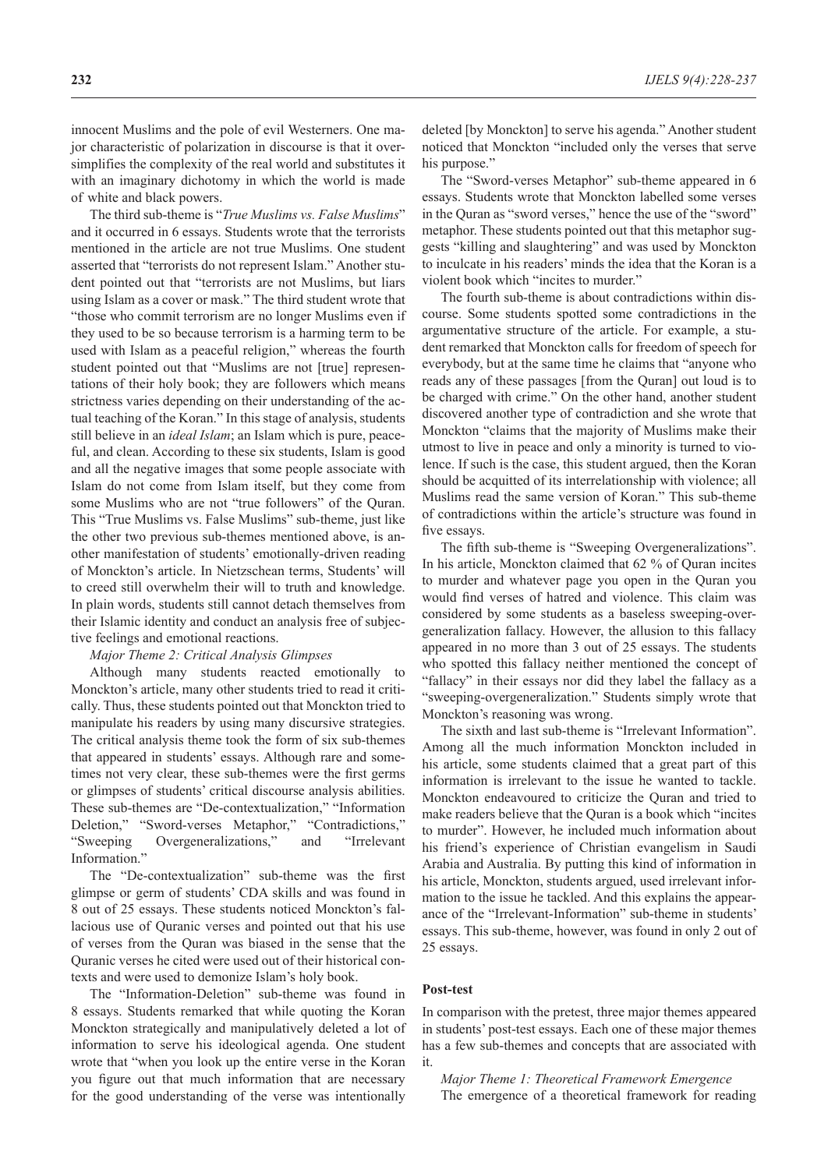innocent Muslims and the pole of evil Westerners. One major characteristic of polarization in discourse is that it oversimplifies the complexity of the real world and substitutes it with an imaginary dichotomy in which the world is made of white and black powers.

The third sub-theme is "*True Muslims vs. False Muslims*" and it occurred in 6 essays. Students wrote that the terrorists mentioned in the article are not true Muslims. One student asserted that "terrorists do not represent Islam." Another student pointed out that "terrorists are not Muslims, but liars using Islam as a cover or mask." The third student wrote that "those who commit terrorism are no longer Muslims even if they used to be so because terrorism is a harming term to be used with Islam as a peaceful religion," whereas the fourth student pointed out that "Muslims are not [true] representations of their holy book; they are followers which means strictness varies depending on their understanding of the actual teaching of the Koran." In this stage of analysis, students still believe in an *ideal Islam*; an Islam which is pure, peaceful, and clean. According to these six students, Islam is good and all the negative images that some people associate with Islam do not come from Islam itself, but they come from some Muslims who are not "true followers" of the Quran. This "True Muslims vs. False Muslims" sub-theme, just like the other two previous sub-themes mentioned above, is another manifestation of students' emotionally-driven reading of Monckton's article. In Nietzschean terms, Students' will to creed still overwhelm their will to truth and knowledge. In plain words, students still cannot detach themselves from their Islamic identity and conduct an analysis free of subjective feelings and emotional reactions.

### *Major Theme 2: Critical Analysis Glimpses*

Although many students reacted emotionally to Monckton's article, many other students tried to read it critically. Thus, these students pointed out that Monckton tried to manipulate his readers by using many discursive strategies. The critical analysis theme took the form of six sub-themes that appeared in students' essays. Although rare and sometimes not very clear, these sub-themes were the first germs or glimpses of students' critical discourse analysis abilities. These sub-themes are "De-contextualization," "Information Deletion," "Sword-verses Metaphor," "Contradictions," "Sweeping Overgeneralizations," and "Irrelevant Information.'

The "De-contextualization" sub-theme was the first glimpse or germ of students' CDA skills and was found in 8 out of 25 essays. These students noticed Monckton's fallacious use of Quranic verses and pointed out that his use of verses from the Quran was biased in the sense that the Quranic verses he cited were used out of their historical contexts and were used to demonize Islam's holy book.

The "Information-Deletion" sub-theme was found in 8 essays. Students remarked that while quoting the Koran Monckton strategically and manipulatively deleted a lot of information to serve his ideological agenda. One student wrote that "when you look up the entire verse in the Koran you figure out that much information that are necessary for the good understanding of the verse was intentionally

deleted [by Monckton] to serve his agenda." Another student noticed that Monckton "included only the verses that serve his purpose."

The "Sword-verses Metaphor" sub-theme appeared in 6 essays. Students wrote that Monckton labelled some verses in the Quran as "sword verses," hence the use of the "sword" metaphor. These students pointed out that this metaphor suggests "killing and slaughtering" and was used by Monckton to inculcate in his readers' minds the idea that the Koran is a violent book which "incites to murder."

The fourth sub-theme is about contradictions within discourse. Some students spotted some contradictions in the argumentative structure of the article. For example, a student remarked that Monckton calls for freedom of speech for everybody, but at the same time he claims that "anyone who reads any of these passages [from the Quran] out loud is to be charged with crime." On the other hand, another student discovered another type of contradiction and she wrote that Monckton "claims that the majority of Muslims make their utmost to live in peace and only a minority is turned to violence. If such is the case, this student argued, then the Koran should be acquitted of its interrelationship with violence; all Muslims read the same version of Koran." This sub-theme of contradictions within the article's structure was found in five essays.

The fifth sub-theme is "Sweeping Overgeneralizations". In his article, Monckton claimed that 62 % of Quran incites to murder and whatever page you open in the Quran you would find verses of hatred and violence. This claim was considered by some students as a baseless sweeping-overgeneralization fallacy. However, the allusion to this fallacy appeared in no more than 3 out of 25 essays. The students who spotted this fallacy neither mentioned the concept of "fallacy" in their essays nor did they label the fallacy as a "sweeping-overgeneralization." Students simply wrote that Monckton's reasoning was wrong.

The sixth and last sub-theme is "Irrelevant Information". Among all the much information Monckton included in his article, some students claimed that a great part of this information is irrelevant to the issue he wanted to tackle. Monckton endeavoured to criticize the Quran and tried to make readers believe that the Quran is a book which "incites to murder". However, he included much information about his friend's experience of Christian evangelism in Saudi Arabia and Australia. By putting this kind of information in his article, Monckton, students argued, used irrelevant information to the issue he tackled. And this explains the appearance of the "Irrelevant-Information" sub-theme in students' essays. This sub-theme, however, was found in only 2 out of 25 essays.

#### **Post-test**

In comparison with the pretest, three major themes appeared in students' post-test essays. Each one of these major themes has a few sub-themes and concepts that are associated with it.

*Major Theme 1: Theoretical Framework Emergence* The emergence of a theoretical framework for reading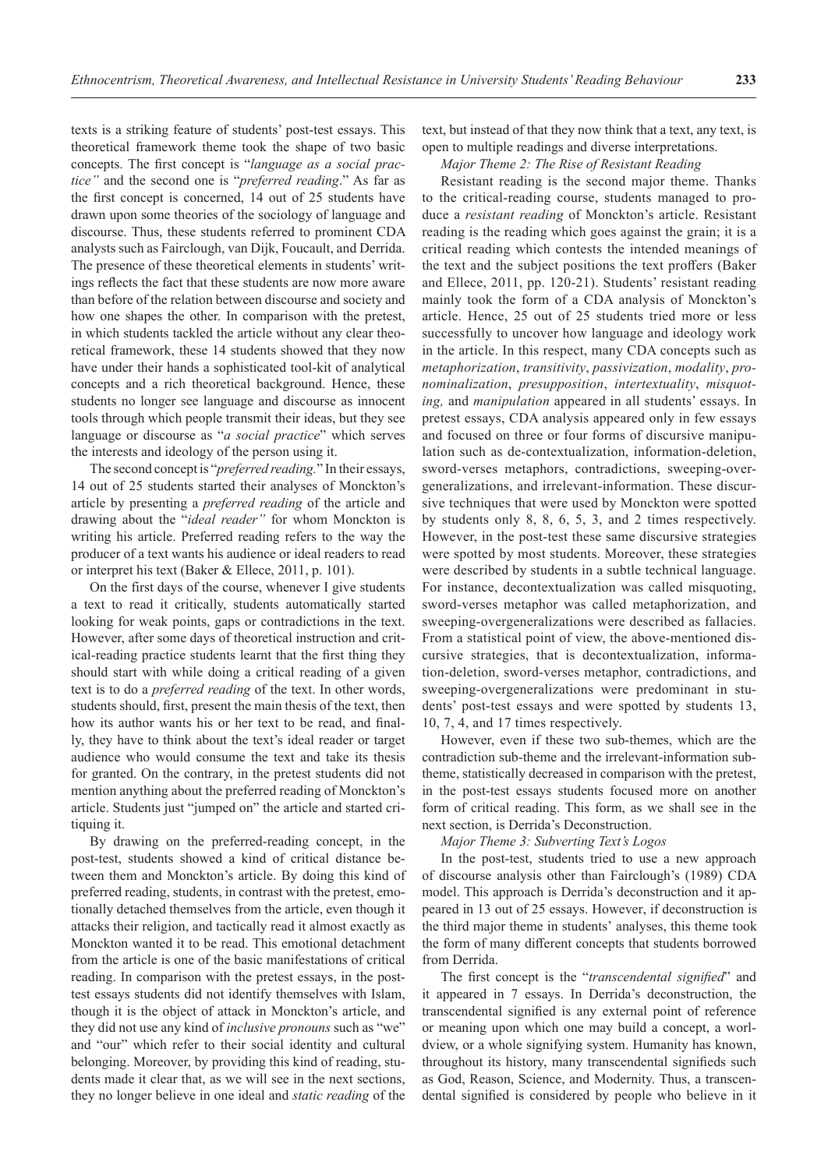texts is a striking feature of students' post-test essays. This theoretical framework theme took the shape of two basic concepts. The first concept is "*language as a social practice"* and the second one is "*preferred reading*." As far as the first concept is concerned, 14 out of 25 students have drawn upon some theories of the sociology of language and discourse. Thus, these students referred to prominent CDA analysts such as Fairclough, van Dijk, Foucault, and Derrida. The presence of these theoretical elements in students' writings reflects the fact that these students are now more aware than before of the relation between discourse and society and how one shapes the other. In comparison with the pretest, in which students tackled the article without any clear theoretical framework, these 14 students showed that they now have under their hands a sophisticated tool-kit of analytical concepts and a rich theoretical background. Hence, these students no longer see language and discourse as innocent tools through which people transmit their ideas, but they see language or discourse as "*a social practice*" which serves the interests and ideology of the person using it.

The second concept is "*preferred reading.*" In their essays, 14 out of 25 students started their analyses of Monckton's article by presenting a *preferred reading* of the article and drawing about the "*ideal reader"* for whom Monckton is writing his article. Preferred reading refers to the way the producer of a text wants his audience or ideal readers to read or interpret his text (Baker & Ellece, 2011, p. 101).

On the first days of the course, whenever I give students a text to read it critically, students automatically started looking for weak points, gaps or contradictions in the text. However, after some days of theoretical instruction and critical-reading practice students learnt that the first thing they should start with while doing a critical reading of a given text is to do a *preferred reading* of the text. In other words, students should, first, present the main thesis of the text, then how its author wants his or her text to be read, and finally, they have to think about the text's ideal reader or target audience who would consume the text and take its thesis for granted. On the contrary, in the pretest students did not mention anything about the preferred reading of Monckton's article. Students just "jumped on" the article and started critiquing it.

By drawing on the preferred-reading concept, in the post-test, students showed a kind of critical distance between them and Monckton's article. By doing this kind of preferred reading, students, in contrast with the pretest, emotionally detached themselves from the article, even though it attacks their religion, and tactically read it almost exactly as Monckton wanted it to be read. This emotional detachment from the article is one of the basic manifestations of critical reading. In comparison with the pretest essays, in the posttest essays students did not identify themselves with Islam, though it is the object of attack in Monckton's article, and they did not use any kind of *inclusive pronouns* such as "we" and "our" which refer to their social identity and cultural belonging. Moreover, by providing this kind of reading, students made it clear that, as we will see in the next sections, they no longer believe in one ideal and *static reading* of the

text, but instead of that they now think that a text, any text, is open to multiple readings and diverse interpretations.

*Major Theme 2: The Rise of Resistant Reading*

Resistant reading is the second major theme. Thanks to the critical-reading course, students managed to produce a *resistant reading* of Monckton's article. Resistant reading is the reading which goes against the grain; it is a critical reading which contests the intended meanings of the text and the subject positions the text proffers (Baker and Ellece, 2011, pp. 120-21). Students' resistant reading mainly took the form of a CDA analysis of Monckton's article. Hence, 25 out of 25 students tried more or less successfully to uncover how language and ideology work in the article. In this respect, many CDA concepts such as *metaphorization*, *transitivity*, *passivization*, *modality*, *pronominalization*, *presupposition*, *intertextuality*, *misquoting,* and *manipulation* appeared in all students' essays. In pretest essays, CDA analysis appeared only in few essays and focused on three or four forms of discursive manipulation such as de-contextualization, information-deletion, sword-verses metaphors, contradictions, sweeping-overgeneralizations, and irrelevant-information. These discursive techniques that were used by Monckton were spotted by students only 8, 8, 6, 5, 3, and 2 times respectively. However, in the post-test these same discursive strategies were spotted by most students. Moreover, these strategies were described by students in a subtle technical language. For instance, decontextualization was called misquoting, sword-verses metaphor was called metaphorization, and sweeping-overgeneralizations were described as fallacies. From a statistical point of view, the above-mentioned discursive strategies, that is decontextualization, information-deletion, sword-verses metaphor, contradictions, and sweeping-overgeneralizations were predominant in students' post-test essays and were spotted by students 13, 10, 7, 4, and 17 times respectively.

However, even if these two sub-themes, which are the contradiction sub-theme and the irrelevant-information subtheme, statistically decreased in comparison with the pretest, in the post-test essays students focused more on another form of critical reading. This form, as we shall see in the next section, is Derrida's Deconstruction.

### *Major Theme 3: Subverting Text's Logos*

In the post-test, students tried to use a new approach of discourse analysis other than Fairclough's (1989) CDA model. This approach is Derrida's deconstruction and it appeared in 13 out of 25 essays. However, if deconstruction is the third major theme in students' analyses, this theme took the form of many different concepts that students borrowed from Derrida.

The first concept is the "*transcendental signified*" and it appeared in 7 essays. In Derrida's deconstruction, the transcendental signified is any external point of reference or meaning upon which one may build a concept, a worldview, or a whole signifying system. Humanity has known, throughout its history, many transcendental signifieds such as God, Reason, Science, and Modernity. Thus, a transcendental signified is considered by people who believe in it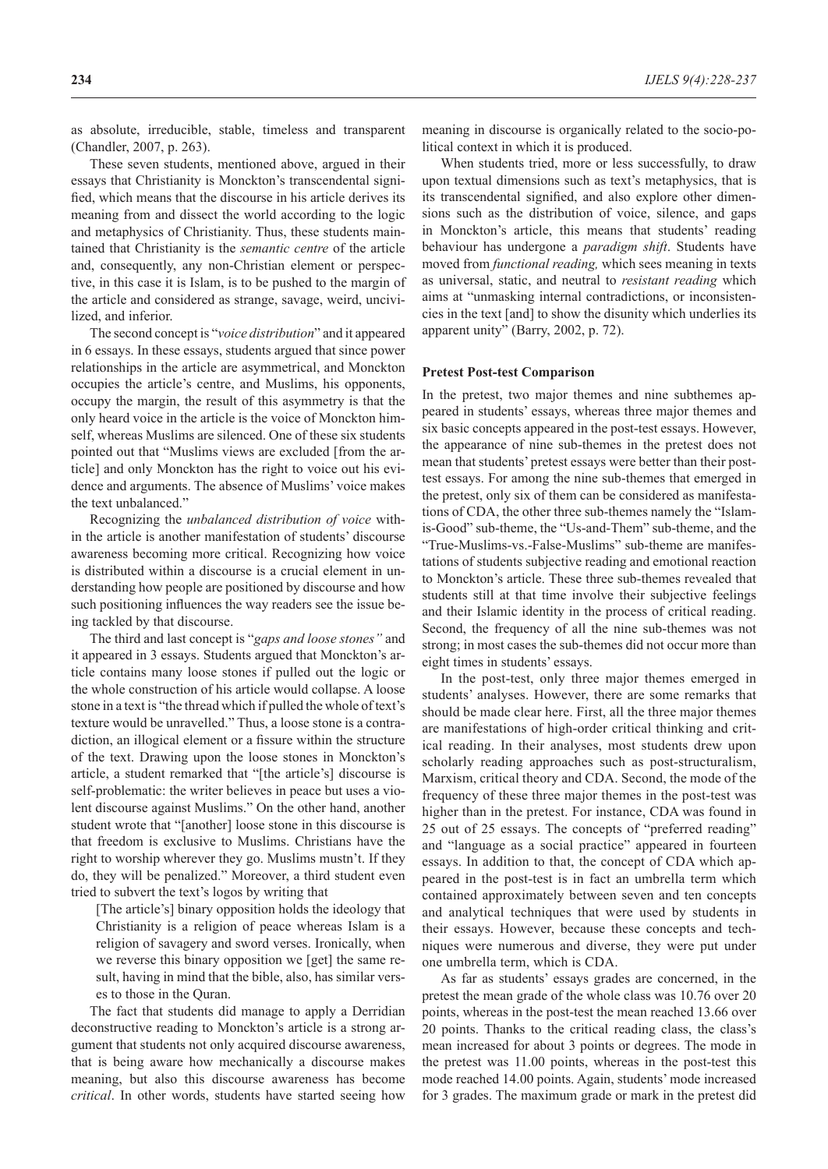as absolute, irreducible, stable, timeless and transparent (Chandler, 2007, p. 263).

These seven students, mentioned above, argued in their essays that Christianity is Monckton's transcendental signified, which means that the discourse in his article derives its meaning from and dissect the world according to the logic and metaphysics of Christianity. Thus, these students maintained that Christianity is the *semantic centre* of the article and, consequently, any non-Christian element or perspective, in this case it is Islam, is to be pushed to the margin of the article and considered as strange, savage, weird, uncivilized, and inferior.

The second concept is "*voice distribution*" and it appeared in 6 essays. In these essays, students argued that since power relationships in the article are asymmetrical, and Monckton occupies the article's centre, and Muslims, his opponents, occupy the margin, the result of this asymmetry is that the only heard voice in the article is the voice of Monckton himself, whereas Muslims are silenced. One of these six students pointed out that "Muslims views are excluded [from the article] and only Monckton has the right to voice out his evidence and arguments. The absence of Muslims' voice makes the text unbalanced."

Recognizing the *unbalanced distribution of voice* within the article is another manifestation of students' discourse awareness becoming more critical. Recognizing how voice is distributed within a discourse is a crucial element in understanding how people are positioned by discourse and how such positioning influences the way readers see the issue being tackled by that discourse.

The third and last concept is "*gaps and loose stones"* and it appeared in 3 essays. Students argued that Monckton's article contains many loose stones if pulled out the logic or the whole construction of his article would collapse. A loose stone in a text is "the thread which if pulled the whole of text's texture would be unravelled." Thus, a loose stone is a contradiction, an illogical element or a fissure within the structure of the text. Drawing upon the loose stones in Monckton's article, a student remarked that "[the article's] discourse is self-problematic: the writer believes in peace but uses a violent discourse against Muslims." On the other hand, another student wrote that "[another] loose stone in this discourse is that freedom is exclusive to Muslims. Christians have the right to worship wherever they go. Muslims mustn't. If they do, they will be penalized." Moreover, a third student even tried to subvert the text's logos by writing that

[The article's] binary opposition holds the ideology that Christianity is a religion of peace whereas Islam is a religion of savagery and sword verses. Ironically, when we reverse this binary opposition we [get] the same result, having in mind that the bible, also, has similar verses to those in the Quran.

The fact that students did manage to apply a Derridian deconstructive reading to Monckton's article is a strong argument that students not only acquired discourse awareness, that is being aware how mechanically a discourse makes meaning, but also this discourse awareness has become *critical*. In other words, students have started seeing how

meaning in discourse is organically related to the socio-political context in which it is produced.

When students tried, more or less successfully, to draw upon textual dimensions such as text's metaphysics, that is its transcendental signified, and also explore other dimensions such as the distribution of voice, silence, and gaps in Monckton's article, this means that students' reading behaviour has undergone a *paradigm shift*. Students have moved from *functional reading,* which sees meaning in texts as universal, static, and neutral to *resistant reading* which aims at "unmasking internal contradictions, or inconsistencies in the text [and] to show the disunity which underlies its apparent unity" (Barry, 2002, p. 72).

### **Pretest Post-test Comparison**

In the pretest, two major themes and nine subthemes appeared in students' essays, whereas three major themes and six basic concepts appeared in the post-test essays. However, the appearance of nine sub-themes in the pretest does not mean that students' pretest essays were better than their posttest essays. For among the nine sub-themes that emerged in the pretest, only six of them can be considered as manifestations of CDA, the other three sub-themes namely the "Islamis-Good" sub-theme, the "Us-and-Them" sub-theme, and the "True-Muslims-vs.-False-Muslims" sub-theme are manifestations of students subjective reading and emotional reaction to Monckton's article. These three sub-themes revealed that students still at that time involve their subjective feelings and their Islamic identity in the process of critical reading. Second, the frequency of all the nine sub-themes was not strong; in most cases the sub-themes did not occur more than eight times in students' essays.

In the post-test, only three major themes emerged in students' analyses. However, there are some remarks that should be made clear here. First, all the three major themes are manifestations of high-order critical thinking and critical reading. In their analyses, most students drew upon scholarly reading approaches such as post-structuralism, Marxism, critical theory and CDA. Second, the mode of the frequency of these three major themes in the post-test was higher than in the pretest. For instance, CDA was found in 25 out of 25 essays. The concepts of "preferred reading" and "language as a social practice" appeared in fourteen essays. In addition to that, the concept of CDA which appeared in the post-test is in fact an umbrella term which contained approximately between seven and ten concepts and analytical techniques that were used by students in their essays. However, because these concepts and techniques were numerous and diverse, they were put under one umbrella term, which is CDA.

As far as students' essays grades are concerned, in the pretest the mean grade of the whole class was 10.76 over 20 points, whereas in the post-test the mean reached 13.66 over 20 points. Thanks to the critical reading class, the class's mean increased for about 3 points or degrees. The mode in the pretest was 11.00 points, whereas in the post-test this mode reached 14.00 points. Again, students' mode increased for 3 grades. The maximum grade or mark in the pretest did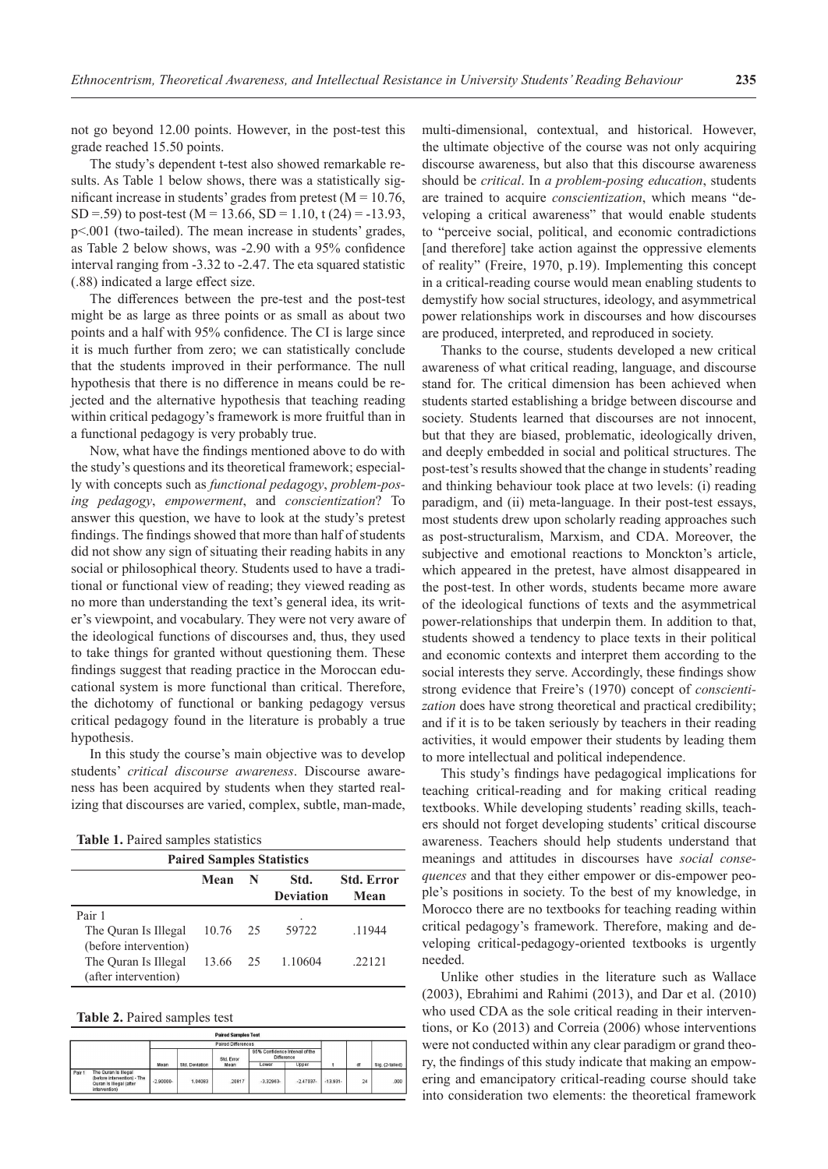not go beyond 12.00 points. However, in the post-test this grade reached 15.50 points.

The study's dependent t-test also showed remarkable results. As Table 1 below shows, there was a statistically significant increase in students' grades from pretest ( $M = 10.76$ , SD = .59) to post-test (M = 13.66, SD = 1.10, t (24) = -13.93, p˂.001 (two-tailed). The mean increase in students' grades, as Table 2 below shows, was -2.90 with a 95% confidence interval ranging from -3.32 to -2.47. The eta squared statistic (.88) indicated a large effect size.

The differences between the pre-test and the post-test might be as large as three points or as small as about two points and a half with 95% confidence. The CI is large since it is much further from zero; we can statistically conclude that the students improved in their performance. The null hypothesis that there is no difference in means could be rejected and the alternative hypothesis that teaching reading within critical pedagogy's framework is more fruitful than in a functional pedagogy is very probably true.

Now, what have the findings mentioned above to do with the study's questions and its theoretical framework; especially with concepts such as *functional pedagogy*, *problem-posing pedagogy*, *empowerment*, and *conscientization*? To answer this question, we have to look at the study's pretest findings. The findings showed that more than half of students did not show any sign of situating their reading habits in any social or philosophical theory. Students used to have a traditional or functional view of reading; they viewed reading as no more than understanding the text's general idea, its writer's viewpoint, and vocabulary. They were not very aware of the ideological functions of discourses and, thus, they used to take things for granted without questioning them. These findings suggest that reading practice in the Moroccan educational system is more functional than critical. Therefore, the dichotomy of functional or banking pedagogy versus critical pedagogy found in the literature is probably a true hypothesis.

In this study the course's main objective was to develop students' *critical discourse awareness*. Discourse awareness has been acquired by students when they started realizing that discourses are varied, complex, subtle, man-made,

| <b>Paired Samples Statistics</b>                                      |       |    |                          |                           |  |  |  |  |  |
|-----------------------------------------------------------------------|-------|----|--------------------------|---------------------------|--|--|--|--|--|
|                                                                       | Mean  | N  | Std.<br><b>Deviation</b> | <b>Std. Error</b><br>Mean |  |  |  |  |  |
| Pair 1                                                                |       |    | ٠                        |                           |  |  |  |  |  |
| The Ouran Is Illegal                                                  | 10.76 | 25 | 59722                    | .11944                    |  |  |  |  |  |
| (before intervention)<br>The Ouran Is Illegal<br>(after intervention) | 13.66 | 25 | 1.10604                  | .22121                    |  |  |  |  |  |

| Table 2. Paired samples test |  |
|------------------------------|--|
|------------------------------|--|

|        |                                                                                                 |              | Paired Differences |            |                                                     |             |            |    |                 |
|--------|-------------------------------------------------------------------------------------------------|--------------|--------------------|------------|-----------------------------------------------------|-------------|------------|----|-----------------|
|        |                                                                                                 |              |                    | Std. Error | 95% Confidence Interval of the<br><b>Difference</b> |             |            |    |                 |
|        |                                                                                                 | Mean         | Std. Deviation     | Mean       | Lower                                               | Upper       |            | df | Sig. (2-tailed) |
| Pair 1 | The Quran Is Illegal<br>(before intervention) - The<br>Quran Is Illegal (after<br>intervention) | $-2.90000 -$ | 1.04083            | .20817     | $-3.32963-$                                         | $-2.47037-$ | $-13.931-$ | 24 | .000            |

**Paired Samples Tes** 

multi-dimensional, contextual, and historical. However, the ultimate objective of the course was not only acquiring discourse awareness, but also that this discourse awareness should be *critical*. In *a problem-posing education*, students are trained to acquire *conscientization*, which means "developing a critical awareness" that would enable students to "perceive social, political, and economic contradictions [and therefore] take action against the oppressive elements of reality" (Freire, 1970, p.19). Implementing this concept in a critical-reading course would mean enabling students to demystify how social structures, ideology, and asymmetrical power relationships work in discourses and how discourses are produced, interpreted, and reproduced in society.

Thanks to the course, students developed a new critical awareness of what critical reading, language, and discourse stand for. The critical dimension has been achieved when students started establishing a bridge between discourse and society. Students learned that discourses are not innocent, but that they are biased, problematic, ideologically driven, and deeply embedded in social and political structures. The post-test's results showed that the change in students' reading and thinking behaviour took place at two levels: (i) reading paradigm, and (ii) meta-language. In their post-test essays, most students drew upon scholarly reading approaches such as post-structuralism, Marxism, and CDA. Moreover, the subjective and emotional reactions to Monckton's article, which appeared in the pretest, have almost disappeared in the post-test. In other words, students became more aware of the ideological functions of texts and the asymmetrical power-relationships that underpin them. In addition to that, students showed a tendency to place texts in their political and economic contexts and interpret them according to the social interests they serve. Accordingly, these findings show strong evidence that Freire's (1970) concept of *conscientization* does have strong theoretical and practical credibility; and if it is to be taken seriously by teachers in their reading activities, it would empower their students by leading them to more intellectual and political independence.

This study's findings have pedagogical implications for teaching critical-reading and for making critical reading textbooks. While developing students' reading skills, teachers should not forget developing students' critical discourse awareness. Teachers should help students understand that meanings and attitudes in discourses have *social consequences* and that they either empower or dis-empower people's positions in society. To the best of my knowledge, in Morocco there are no textbooks for teaching reading within critical pedagogy's framework. Therefore, making and developing critical-pedagogy-oriented textbooks is urgently needed.

Unlike other studies in the literature such as Wallace (2003), Ebrahimi and Rahimi (2013), and Dar et al. (2010) who used CDA as the sole critical reading in their interventions, or Ko (2013) and Correia (2006) whose interventions were not conducted within any clear paradigm or grand theory, the findings of this study indicate that making an empowering and emancipatory critical-reading course should take into consideration two elements: the theoretical framework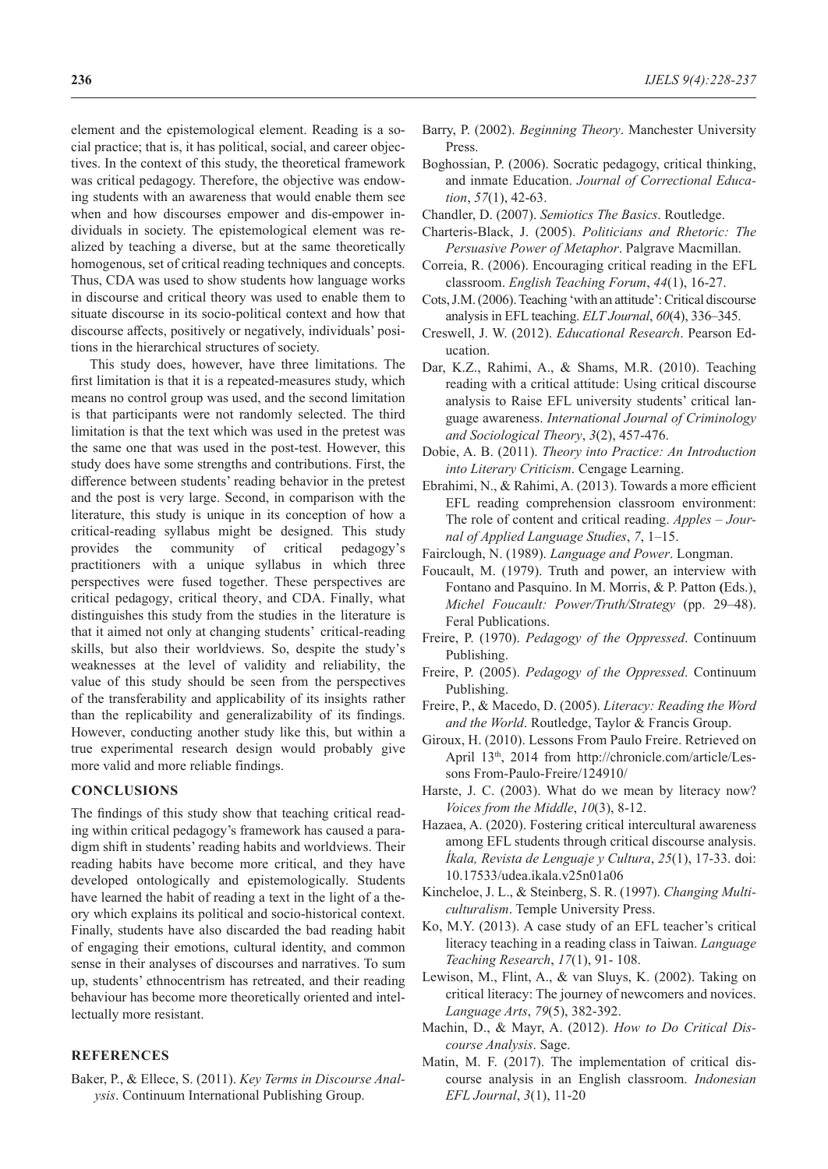element and the epistemological element. Reading is a social practice; that is, it has political, social, and career objectives. In the context of this study, the theoretical framework was critical pedagogy. Therefore, the objective was endowing students with an awareness that would enable them see when and how discourses empower and dis-empower individuals in society. The epistemological element was realized by teaching a diverse, but at the same theoretically homogenous, set of critical reading techniques and concepts. Thus, CDA was used to show students how language works in discourse and critical theory was used to enable them to situate discourse in its socio-political context and how that discourse affects, positively or negatively, individuals' positions in the hierarchical structures of society.

This study does, however, have three limitations. The first limitation is that it is a repeated-measures study, which means no control group was used, and the second limitation is that participants were not randomly selected. The third limitation is that the text which was used in the pretest was the same one that was used in the post-test. However, this study does have some strengths and contributions. First, the difference between students' reading behavior in the pretest and the post is very large. Second, in comparison with the literature, this study is unique in its conception of how a critical-reading syllabus might be designed. This study provides the community of critical pedagogy's practitioners with a unique syllabus in which three perspectives were fused together. These perspectives are critical pedagogy, critical theory, and CDA. Finally, what distinguishes this study from the studies in the literature is that it aimed not only at changing students' critical-reading skills, but also their worldviews. So, despite the study's weaknesses at the level of validity and reliability, the value of this study should be seen from the perspectives of the transferability and applicability of its insights rather than the replicability and generalizability of its findings. However, conducting another study like this, but within a true experimental research design would probably give more valid and more reliable findings.

# **CONCLUSIONS**

The findings of this study show that teaching critical reading within critical pedagogy's framework has caused a paradigm shift in students' reading habits and worldviews. Their reading habits have become more critical, and they have developed ontologically and epistemologically. Students have learned the habit of reading a text in the light of a theory which explains its political and socio-historical context. Finally, students have also discarded the bad reading habit of engaging their emotions, cultural identity, and common sense in their analyses of discourses and narratives. To sum up, students' ethnocentrism has retreated, and their reading behaviour has become more theoretically oriented and intellectually more resistant.

# **REFERENCES**

Baker, P., & Ellece, S. (2011). *Key Terms in Discourse Analysis*. Continuum International Publishing Group.

- Barry, P. (2002). *Beginning Theory*. Manchester University Press.
- Boghossian, P. (2006). Socratic pedagogy, critical thinking, and inmate Education. *Journal of Correctional Education*, *57*(1), 42-63.
- Chandler, D. (2007). *Semiotics The Basics*. Routledge.
- Charteris-Black, J. (2005). *Politicians and Rhetoric: The Persuasive Power of Metaphor*. Palgrave Macmillan.
- Correia, R. (2006). Encouraging critical reading in the EFL classroom. *English Teaching Forum*, *44*(1), 16-27.
- Cots, J.M. (2006). Teaching 'with an attitude': Critical discourse analysis in EFL teaching. *ELT Journal*, *60*(4), 336–345.
- Creswell, J. W. (2012). *Educational Research*. Pearson Education.
- Dar, K.Z., Rahimi, A., & Shams, M.R. (2010). Teaching reading with a critical attitude: Using critical discourse analysis to Raise EFL university students' critical language awareness. *International Journal of Criminology and Sociological Theory*, *3*(2), 457-476.
- Dobie, A. B. (2011). *Theory into Practice: An Introduction into Literary Criticism*. Cengage Learning.
- Ebrahimi, N., & Rahimi, A. (2013). Towards a more efficient EFL reading comprehension classroom environment: The role of content and critical reading. *Apples – Journal of Applied Language Studies*, *7*, 1–15.
- Fairclough, N. (1989). *Language and Power*. Longman.
- Foucault, M. (1979). Truth and power, an interview with Fontano and Pasquino. In M. Morris, & P. Patton **(**Eds.), *Michel Foucault: Power/Truth/Strategy* (pp. 29–48). Feral Publications.
- Freire, P. (1970). *Pedagogy of the Oppressed*. Continuum Publishing.
- Freire, P. (2005). *Pedagogy of the Oppressed*. Continuum Publishing.
- Freire, P., & Macedo, D. (2005). *Literacy: Reading the Word and the World*. Routledge, Taylor & Francis Group.
- Giroux, H. (2010). Lessons From Paulo Freire. Retrieved on April 13<sup>th</sup>, 2014 from http://chronicle.com/article/Lessons From-Paulo-Freire/124910/
- Harste, J. C. (2003). What do we mean by literacy now? *Voices from the Middle*, *10*(3), 8-12.
- Hazaea, A. (2020). Fostering critical intercultural awareness among EFL students through critical discourse analysis. *Íkala, Revista de Lenguaje y Cultura*, *25*(1), 17-33. doi: 10.17533/udea.ikala.v25n01a06
- Kincheloe, J. L., & Steinberg, S. R. (1997). *Changing Multiculturalism*. Temple University Press.
- Ko, M.Y. (2013). A case study of an EFL teacher's critical literacy teaching in a reading class in Taiwan. *Language Teaching Research*, *17*(1), 91- 108.
- Lewison, M., Flint, A., & van Sluys, K. (2002). Taking on critical literacy: The journey of newcomers and novices. *Language Arts*, *79*(5), 382-392.
- Machin, D., & Mayr, A. (2012). *How to Do Critical Discourse Analysis*. Sage.
- Matin, M. F. (2017). The implementation of critical discourse analysis in an English classroom. *Indonesian EFL Journal*, *3*(1), 11-20